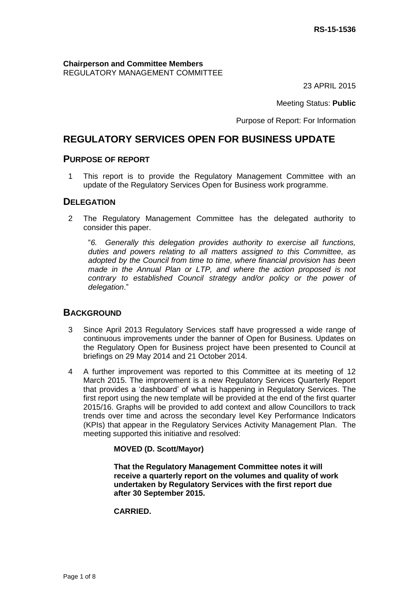**Chairperson and Committee Members** REGULATORY MANAGEMENT COMMITTEE

23 APRIL 2015

Meeting Status: **Public**

Purpose of Report: For Information

# **REGULATORY SERVICES OPEN FOR BUSINESS UPDATE**

#### **PURPOSE OF REPORT**

1 This report is to provide the Regulatory Management Committee with an update of the Regulatory Services Open for Business work programme.

#### **DELEGATION**

2 The Regulatory Management Committee has the delegated authority to consider this paper.

"*6. Generally this delegation provides authority to exercise all functions, duties and powers relating to all matters assigned to this Committee, as adopted by the Council from time to time, where financial provision has been made in the Annual Plan or LTP, and where the action proposed is not contrary to established Council strategy and/or policy or the power of delegation*."

#### **BACKGROUND**

- 3 Since April 2013 Regulatory Services staff have progressed a wide range of continuous improvements under the banner of Open for Business. Updates on the Regulatory Open for Business project have been presented to Council at briefings on 29 May 2014 and 21 October 2014.
- 4 A further improvement was reported to this Committee at its meeting of 12 March 2015. The improvement is a new Regulatory Services Quarterly Report that provides a 'dashboard' of what is happening in Regulatory Services. The first report using the new template will be provided at the end of the first quarter 2015/16. Graphs will be provided to add context and allow Councillors to track trends over time and across the secondary level Key Performance Indicators (KPIs) that appear in the Regulatory Services Activity Management Plan. The meeting supported this initiative and resolved:

#### **MOVED (D. Scott/Mayor)**

**That the Regulatory Management Committee notes it will receive a quarterly report on the volumes and quality of work undertaken by Regulatory Services with the first report due after 30 September 2015.**

#### **CARRIED.**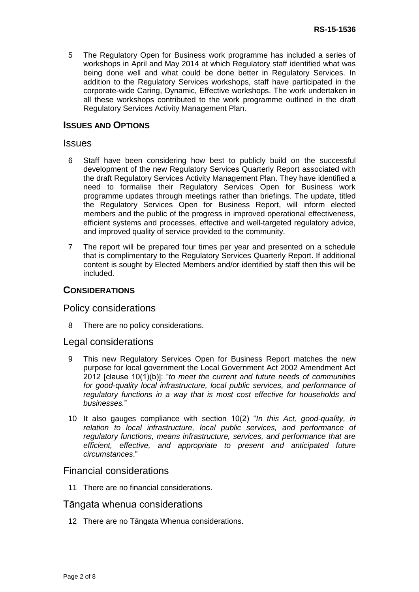5 The Regulatory Open for Business work programme has included a series of workshops in April and May 2014 at which Regulatory staff identified what was being done well and what could be done better in Regulatory Services. In addition to the Regulatory Services workshops, staff have participated in the corporate-wide Caring, Dynamic, Effective workshops. The work undertaken in all these workshops contributed to the work programme outlined in the draft Regulatory Services Activity Management Plan.

#### **ISSUES AND OPTIONS**

#### **Issues**

- 6 Staff have been considering how best to publicly build on the successful development of the new Regulatory Services Quarterly Report associated with the draft Regulatory Services Activity Management Plan. They have identified a need to formalise their Regulatory Services Open for Business work programme updates through meetings rather than briefings. The update, titled the Regulatory Services Open for Business Report, will inform elected members and the public of the progress in improved operational effectiveness, efficient systems and processes, effective and well-targeted regulatory advice, and improved quality of service provided to the community.
- 7 The report will be prepared four times per year and presented on a schedule that is complimentary to the Regulatory Services Quarterly Report. If additional content is sought by Elected Members and/or identified by staff then this will be included.

#### **CONSIDERATIONS**

#### Policy considerations

8 There are no policy considerations.

#### Legal considerations

- 9 This new Regulatory Services Open for Business Report matches the new purpose for local government the Local Government Act 2002 Amendment Act 2012 [clause 10(1)(b)]: "*to meet the current and future needs of communities for good-quality local infrastructure, local public services, and performance of regulatory functions in a way that is most cost effective for households and businesses.*"
- 10 It also gauges compliance with section 10(2) "*In this Act, good-quality, in relation to local infrastructure, local public services, and performance of regulatory functions, means infrastructure, services, and performance that are efficient, effective, and appropriate to present and anticipated future circumstances*."

#### Financial considerations

11 There are no financial considerations.

#### Tāngata whenua considerations

12 There are no Tāngata Whenua considerations.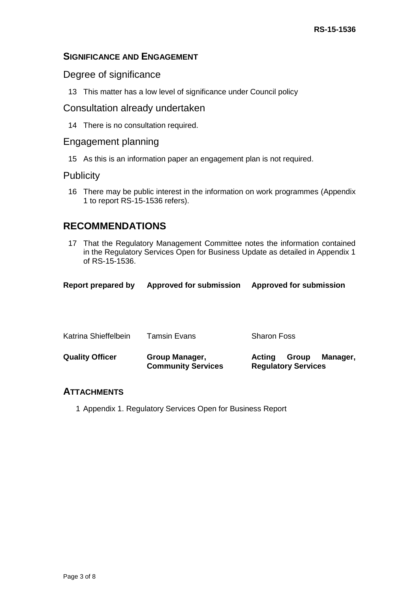## **SIGNIFICANCE AND ENGAGEMENT**

### Degree of significance

13 This matter has a low level of significance under Council policy

## Consultation already undertaken

14 There is no consultation required.

## Engagement planning

15 As this is an information paper an engagement plan is not required.

## **Publicity**

16 There may be public interest in the information on work programmes (Appendix 1 to report RS-15-1536 refers).

## **RECOMMENDATIONS**

17 That the Regulatory Management Committee notes the information contained in the Regulatory Services Open for Business Update as detailed in Appendix 1 of RS-15-1536.

| Report prepared by | <b>Approved for submission</b> | <b>Approved for submission</b> |
|--------------------|--------------------------------|--------------------------------|
|--------------------|--------------------------------|--------------------------------|

| <b>Quality Officer</b> | Group Manager,<br><b>Community Services</b> | Group<br>Manager,<br>Actina<br><b>Regulatory Services</b> |
|------------------------|---------------------------------------------|-----------------------------------------------------------|
| Katrina Shieffelbein   | <b>Tamsin Evans</b>                         | <b>Sharon Foss</b>                                        |

### **ATTACHMENTS**

1 Appendix 1. Regulatory Services Open for Business Report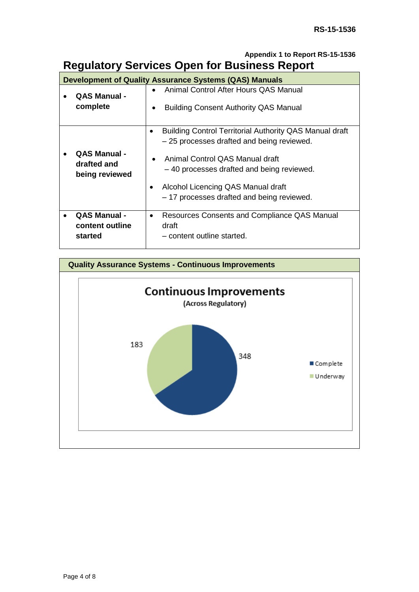## **Appendix 1 to Report RS-15-1536 Regulatory Services Open for Business Report**

| <b>Development of Quality Assurance Systems (QAS) Manuals</b> |                                                      |                                                                                                                                                                                                                                                                                              |
|---------------------------------------------------------------|------------------------------------------------------|----------------------------------------------------------------------------------------------------------------------------------------------------------------------------------------------------------------------------------------------------------------------------------------------|
|                                                               | <b>QAS Manual -</b><br>complete                      | Animal Control After Hours QAS Manual<br>$\bullet$<br><b>Building Consent Authority QAS Manual</b><br>$\bullet$                                                                                                                                                                              |
|                                                               | <b>QAS Manual -</b><br>drafted and<br>being reviewed | <b>Building Control Territorial Authority QAS Manual draft</b><br>-25 processes drafted and being reviewed.<br>Animal Control QAS Manual draft<br>$\bullet$<br>-40 processes drafted and being reviewed.<br>Alcohol Licencing QAS Manual draft<br>- 17 processes drafted and being reviewed. |
|                                                               | <b>QAS Manual -</b><br>content outline<br>started    | Resources Consents and Compliance QAS Manual<br>$\bullet$<br>draft<br>- content outline started.                                                                                                                                                                                             |

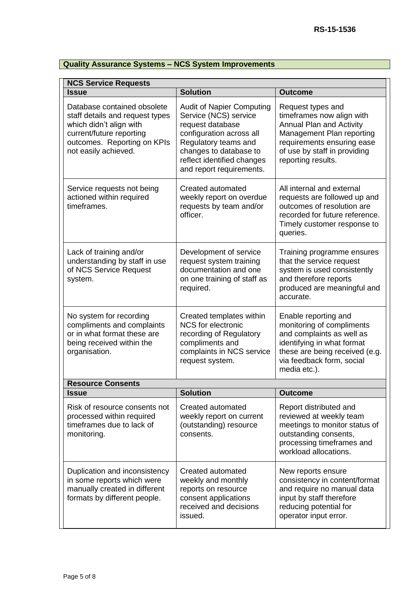# **Quality Assurance Systems – NCS System Improvements**

| <b>NCS Service Requests</b>                                                                                                                                                  |                                                                                                                                                                                                                       |                                                                                                                                                                                                    |  |
|------------------------------------------------------------------------------------------------------------------------------------------------------------------------------|-----------------------------------------------------------------------------------------------------------------------------------------------------------------------------------------------------------------------|----------------------------------------------------------------------------------------------------------------------------------------------------------------------------------------------------|--|
| <b>Issue</b>                                                                                                                                                                 | <b>Solution</b>                                                                                                                                                                                                       | <b>Outcome</b>                                                                                                                                                                                     |  |
| Database contained obsolete<br>staff details and request types<br>which didn't align with<br>current/future reporting<br>outcomes. Reporting on KPIs<br>not easily achieved. | <b>Audit of Napier Computing</b><br>Service (NCS) service<br>request database<br>configuration across all<br>Regulatory teams and<br>changes to database to<br>reflect identified changes<br>and report requirements. | Request types and<br>timeframes now align with<br><b>Annual Plan and Activity</b><br>Management Plan reporting<br>requirements ensuring ease<br>of use by staff in providing<br>reporting results. |  |
| Service requests not being<br>actioned within required<br>timeframes.                                                                                                        | Created automated<br>weekly report on overdue<br>requests by team and/or<br>officer.                                                                                                                                  | All internal and external<br>requests are followed up and<br>outcomes of resolution are<br>recorded for future reference.<br>Timely customer response to<br>queries.                               |  |
| Lack of training and/or<br>understanding by staff in use<br>of NCS Service Request<br>system.                                                                                | Development of service<br>request system training<br>documentation and one<br>on one training of staff as<br>required.                                                                                                | Training programme ensures<br>that the service request<br>system is used consistently<br>and therefore reports<br>produced are meaningful and<br>accurate.                                         |  |
| No system for recording<br>compliments and complaints<br>or in what format these are<br>being received within the<br>organisation.                                           | Created templates within<br><b>NCS</b> for electronic<br>recording of Regulatory<br>compliments and<br>complaints in NCS service<br>request system.                                                                   | Enable reporting and<br>monitoring of compliments<br>and complaints as well as<br>identifying in what format<br>these are being received (e.g.<br>via feedback form, social<br>media etc.).        |  |
| <b>Resource Consents</b>                                                                                                                                                     |                                                                                                                                                                                                                       |                                                                                                                                                                                                    |  |
| <b>Issue</b>                                                                                                                                                                 | <b>Solution</b>                                                                                                                                                                                                       | <b>Outcome</b>                                                                                                                                                                                     |  |
| Risk of resource consents not<br>processed within required<br>timeframes due to lack of<br>monitoring.                                                                       | <b>Created automated</b><br>weekly report on current<br>(outstanding) resource<br>consents.                                                                                                                           | Report distributed and<br>reviewed at weekly team<br>meetings to monitor status of<br>outstanding consents,<br>processing timeframes and<br>workload allocations.                                  |  |
| Duplication and inconsistency<br>in some reports which were<br>manually created in different<br>formats by different people.                                                 | Created automated<br>weekly and monthly<br>reports on resource<br>consent applications<br>received and decisions<br>issued.                                                                                           | New reports ensure<br>consistency in content/format<br>and require no manual data<br>input by staff therefore<br>reducing potential for<br>operator input error.                                   |  |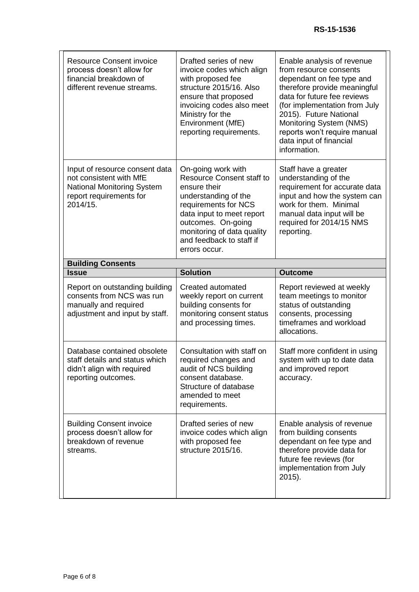| <b>Resource Consent invoice</b><br>process doesn't allow for<br>financial breakdown of<br>different revenue streams.                  | Drafted series of new<br>invoice codes which align<br>with proposed fee<br>structure 2015/16. Also<br>ensure that proposed<br>invoicing codes also meet<br>Ministry for the<br>Environment (MfE)<br>reporting requirements.                          | Enable analysis of revenue<br>from resource consents<br>dependant on fee type and<br>therefore provide meaningful<br>data for future fee reviews<br>(for implementation from July<br>2015). Future National<br>Monitoring System (NMS)<br>reports won't require manual<br>data input of financial<br>information. |
|---------------------------------------------------------------------------------------------------------------------------------------|------------------------------------------------------------------------------------------------------------------------------------------------------------------------------------------------------------------------------------------------------|-------------------------------------------------------------------------------------------------------------------------------------------------------------------------------------------------------------------------------------------------------------------------------------------------------------------|
| Input of resource consent data<br>not consistent with MfE<br><b>National Monitoring System</b><br>report requirements for<br>2014/15. | On-going work with<br><b>Resource Consent staff to</b><br>ensure their<br>understanding of the<br>requirements for NCS<br>data input to meet report<br>outcomes. On-going<br>monitoring of data quality<br>and feedback to staff if<br>errors occur. | Staff have a greater<br>understanding of the<br>requirement for accurate data<br>input and how the system can<br>work for them. Minimal<br>manual data input will be<br>required for 2014/15 NMS<br>reporting.                                                                                                    |
| <b>Building Consents</b>                                                                                                              |                                                                                                                                                                                                                                                      |                                                                                                                                                                                                                                                                                                                   |
| <b>Issue</b>                                                                                                                          | <b>Solution</b>                                                                                                                                                                                                                                      | <b>Outcome</b>                                                                                                                                                                                                                                                                                                    |
|                                                                                                                                       |                                                                                                                                                                                                                                                      |                                                                                                                                                                                                                                                                                                                   |
| Report on outstanding building<br>consents from NCS was run<br>manually and required<br>adjustment and input by staff.                | Created automated<br>weekly report on current<br>building consents for<br>monitoring consent status<br>and processing times.                                                                                                                         | Report reviewed at weekly<br>team meetings to monitor<br>status of outstanding<br>consents, processing<br>timeframes and workload<br>allocations.                                                                                                                                                                 |
| Database contained obsolete<br>staff details and status which<br>didn't align with required<br>reporting outcomes.                    | Consultation with staff on<br>required changes and<br>audit of NCS building<br>consent database.<br>Structure of database<br>amended to meet<br>requirements.                                                                                        | Staff more confident in using<br>system with up to date data<br>and improved report<br>accuracy.                                                                                                                                                                                                                  |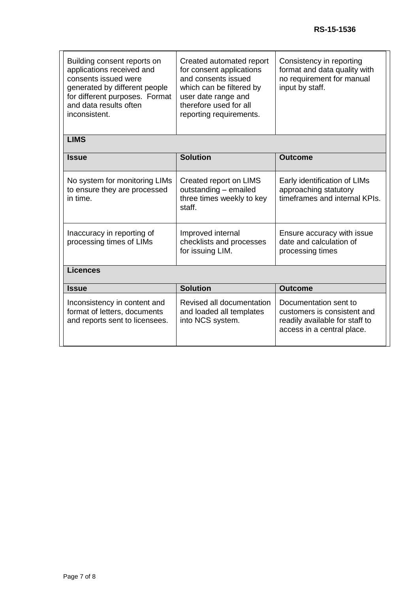| Building consent reports on<br>applications received and<br>consents issued were<br>generated by different people<br>for different purposes. Format<br>and data results often<br>inconsistent. | Created automated report<br>for consent applications<br>and consents issued<br>which can be filtered by<br>user date range and<br>therefore used for all<br>reporting requirements. | Consistency in reporting<br>format and data quality with<br>no requirement for manual<br>input by staff.             |
|------------------------------------------------------------------------------------------------------------------------------------------------------------------------------------------------|-------------------------------------------------------------------------------------------------------------------------------------------------------------------------------------|----------------------------------------------------------------------------------------------------------------------|
| <b>LIMS</b>                                                                                                                                                                                    |                                                                                                                                                                                     |                                                                                                                      |
| <b>Issue</b>                                                                                                                                                                                   | <b>Solution</b>                                                                                                                                                                     | <b>Outcome</b>                                                                                                       |
| No system for monitoring LIMs<br>to ensure they are processed<br>in time.                                                                                                                      | Created report on LIMS<br>outstanding - emailed<br>three times weekly to key<br>staff.                                                                                              | Early identification of LIMs<br>approaching statutory<br>timeframes and internal KPIs.                               |
| Inaccuracy in reporting of<br>processing times of LIMs                                                                                                                                         | Improved internal<br>checklists and processes<br>for issuing LIM.                                                                                                                   | Ensure accuracy with issue<br>date and calculation of<br>processing times                                            |
| <b>Licences</b>                                                                                                                                                                                |                                                                                                                                                                                     |                                                                                                                      |
| <b>Issue</b>                                                                                                                                                                                   | <b>Solution</b>                                                                                                                                                                     | <b>Outcome</b>                                                                                                       |
| Inconsistency in content and<br>format of letters, documents<br>and reports sent to licensees.                                                                                                 | Revised all documentation<br>and loaded all templates<br>into NCS system.                                                                                                           | Documentation sent to<br>customers is consistent and<br>readily available for staff to<br>access in a central place. |